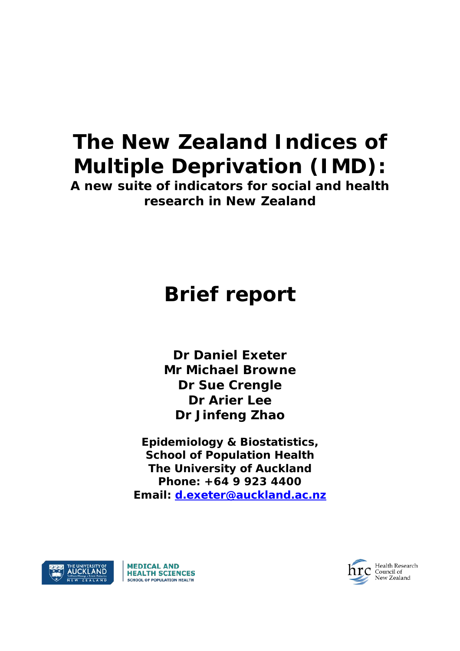# **The New Zealand Indices of Multiple Deprivation (IMD):**

**A new suite of indicators for social and health research in New Zealand**

## **Brief report**

**Dr Daniel Exeter Mr Michael Browne Dr Sue Crengle Dr Arier Lee Dr Jinfeng Zhao**

**Epidemiology & Biostatistics, School of Population Health The University of Auckland Phone: +64 9 923 4400 Email: [d.exeter@auckland.ac.nz](mailto:d.exeter@auckland.ac.nz)**





Health Research **Fream Resear**<br>Council of<br>New Zealand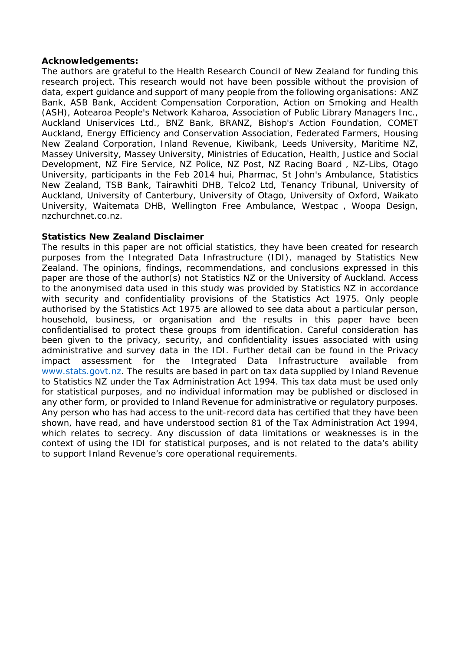#### **Acknowledgements:**

The authors are grateful to the Health Research Council of New Zealand for funding this research project. This research would not have been possible without the provision of data, expert guidance and support of many people from the following organisations: ANZ Bank, ASB Bank, Accident Compensation Corporation, Action on Smoking and Health (ASH), Aotearoa People's Network Kaharoa, Association of Public Library Managers Inc., Auckland Uniservices Ltd., BNZ Bank, BRANZ, Bishop's Action Foundation, COMET Auckland, Energy Efficiency and Conservation Association, Federated Farmers, Housing New Zealand Corporation, Inland Revenue, Kiwibank, Leeds University, Maritime NZ, Massey University, Massey University, Ministries of Education, Health, Justice and Social Development, NZ Fire Service, NZ Police, NZ Post, NZ Racing Board , NZ-Libs, Otago University, participants in the Feb 2014 hui, Pharmac, St John's Ambulance, Statistics New Zealand, TSB Bank, Tairawhiti DHB, Telco2 Ltd, Tenancy Tribunal, University of Auckland, University of Canterbury, University of Otago, University of Oxford, Waikato University, Waitemata DHB, Wellington Free Ambulance, Westpac , Woopa Design, nzchurchnet.co.nz.

#### **Statistics New Zealand Disclaimer**

The results in this paper are not official statistics, they have been created for research purposes from the Integrated Data Infrastructure (IDI), managed by Statistics New Zealand. The opinions, findings, recommendations, and conclusions expressed in this paper are those of the author(s) not Statistics NZ or the University of Auckland. Access to the anonymised data used in this study was provided by Statistics NZ in accordance with security and confidentiality provisions of the Statistics Act 1975. Only people authorised by the Statistics Act 1975 are allowed to see data about a particular person, household, business, or organisation and the results in this paper have been confidentialised to protect these groups from identification. Careful consideration has been given to the privacy, security, and confidentiality issues associated with using administrative and survey data in the IDI. Further detail can be found in the Privacy impact assessment for the Integrated Data Infrastructure available from www.stats.govt.nz. The results are based in part on tax data supplied by Inland Revenue to Statistics NZ under the Tax Administration Act 1994. This tax data must be used only for statistical purposes, and no individual information may be published or disclosed in any other form, or provided to Inland Revenue for administrative or regulatory purposes. Any person who has had access to the unit-record data has certified that they have been shown, have read, and have understood section 81 of the Tax Administration Act 1994, which relates to secrecy. Any discussion of data limitations or weaknesses is in the context of using the IDI for statistical purposes, and is not related to the data's ability to support Inland Revenue's core operational requirements.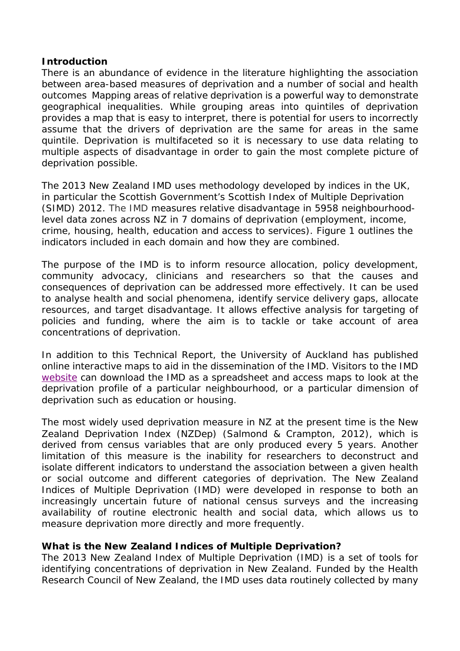### **Introduction**

There is an abundance of evidence in the literature highlighting the association between area-based measures of deprivation and a number of social and health outcomes Mapping areas of relative deprivation is a powerful way to demonstrate geographical inequalities. While grouping areas into quintiles of deprivation provides a map that is easy to interpret, there is potential for users to incorrectly assume that the drivers of deprivation are the same for areas in the same quintile. Deprivation is multifaceted so it is necessary to use data relating to multiple aspects of disadvantage in order to gain the most complete picture of deprivation possible.

The 2013 New Zealand IMD uses methodology developed by indices in the UK, in particular the Scottish Government's Scottish Index of Multiple Deprivation (SIMD) 2012. The IMD measures relative disadvantage in 5958 neighbourhoodlevel data zones across NZ in 7 domains of deprivation (employment, income, crime, housing, health, education and access to services). [Figure 1](#page-6-0) outlines the indicators included in each domain and how they are combined.

The purpose of the IMD is to inform resource allocation, policy development, community advocacy, clinicians and researchers so that the causes and consequences of deprivation can be addressed more effectively. It can be used to analyse health and social phenomena, identify service delivery gaps, allocate resources, and target disadvantage. It allows effective analysis for targeting of policies and funding, where the aim is to tackle or take account of area concentrations of deprivation.

In addition to this Technical Report, the University of Auckland has published online interactive maps to aid in the dissemination of the IMD. Visitors to the IMD [website](http://www.fmhs.auckland.ac.nz/hgd.html) can download the IMD as a spreadsheet and access maps to look at the deprivation profile of a particular neighbourhood, or a particular dimension of deprivation such as education or housing.

The most widely used deprivation measure in NZ at the present time is the New Zealand Deprivation Index (NZDep) (Salmond & Crampton, 2012), which is derived from census variables that are only produced every 5 years. Another limitation of this measure is the inability for researchers to deconstruct and isolate different indicators to understand the association between a given health or social outcome and different categories of deprivation. The New Zealand Indices of Multiple Deprivation (IMD) were developed in response to both an increasingly uncertain future of national census surveys and the increasing availability of routine electronic health and social data, which allows us to measure deprivation more directly and more frequently.

## **What is the New Zealand Indices of Multiple Deprivation?**

The 2013 New Zealand Index of Multiple Deprivation (IMD) is a set of tools for identifying concentrations of deprivation in New Zealand. Funded by the Health Research Council of New Zealand, the IMD uses data routinely collected by many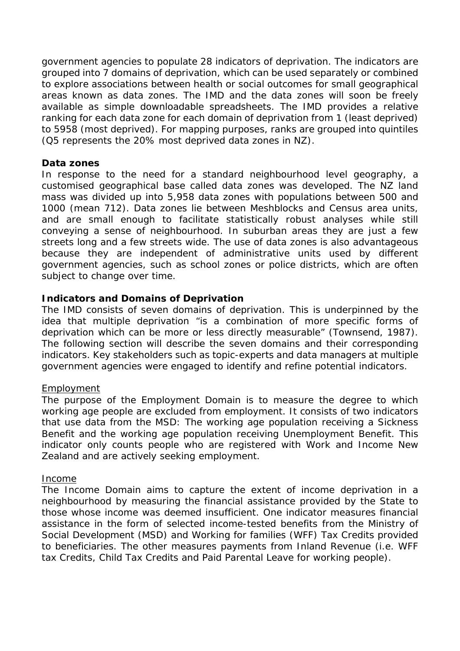government agencies to populate 28 indicators of deprivation. The indicators are grouped into 7 domains of deprivation, which can be used separately or combined to explore associations between health or social outcomes for small geographical areas known as data zones. The IMD and the data zones will soon be freely available as simple downloadable spreadsheets. The IMD provides a relative ranking for each data zone for each domain of deprivation from 1 (least deprived) to 5958 (most deprived). For mapping purposes, ranks are grouped into quintiles (Q5 represents the 20% most deprived data zones in NZ).

#### **Data zones**

In response to the need for a standard neighbourhood level geography, a customised geographical base called data zones was developed. The NZ land mass was divided up into 5,958 data zones with populations between 500 and 1000 (mean 712). Data zones lie between Meshblocks and Census area units, and are small enough to facilitate statistically robust analyses while still conveying a sense of neighbourhood. In suburban areas they are just a few streets long and a few streets wide. The use of data zones is also advantageous because they are independent of administrative units used by different government agencies, such as school zones or police districts, which are often subject to change over time.

## **Indicators and Domains of Deprivation**

The IMD consists of seven domains of deprivation. This is underpinned by the idea that multiple deprivation "is a combination of more specific forms of deprivation which can be more or less directly measurable" (Townsend, 1987). The following section will describe the seven domains and their corresponding indicators. Key stakeholders such as topic-experts and data managers at multiple government agencies were engaged to identify and refine potential indicators.

#### **Employment**

The purpose of the Employment Domain is to measure the degree to which working age people are excluded from employment. It consists of two indicators that use data from the MSD: The working age population receiving a Sickness Benefit and the working age population receiving Unemployment Benefit. This indicator only counts people who are registered with Work and Income New Zealand and are actively seeking employment.

#### Income

The Income Domain aims to capture the extent of income deprivation in a neighbourhood by measuring the financial assistance provided by the State to those whose income was deemed insufficient. One indicator measures financial assistance in the form of selected income-tested benefits from the Ministry of Social Development (MSD) and Working for families (WFF) Tax Credits provided to beneficiaries. The other measures payments from Inland Revenue (i.e. WFF tax Credits, Child Tax Credits and Paid Parental Leave for working people).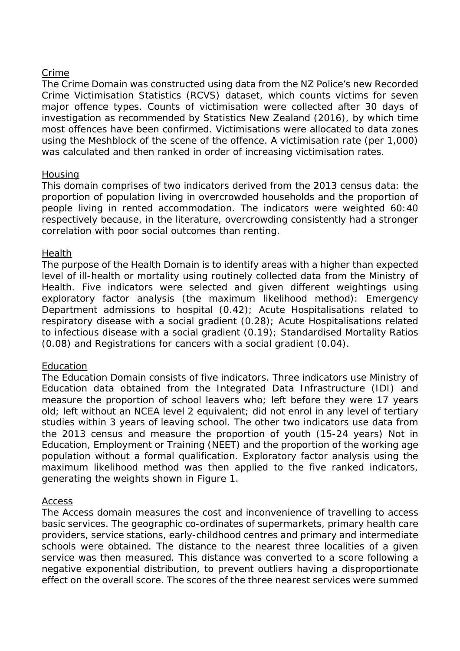### Crime

The Crime Domain was constructed using data from the NZ Police's new Recorded Crime Victimisation Statistics (RCVS) dataset, which counts victims for seven major offence types. Counts of victimisation were collected after 30 days of investigation as recommended by Statistics New Zealand (2016), by which time most offences have been confirmed. Victimisations were allocated to data zones using the Meshblock of the scene of the offence. A victimisation rate (per 1,000) was calculated and then ranked in order of increasing victimisation rates.

#### **Housing**

This domain comprises of two indicators derived from the 2013 census data: the proportion of population living in overcrowded households and the proportion of people living in rented accommodation. The indicators were weighted 60:40 respectively because, in the literature, overcrowding consistently had a stronger correlation with poor social outcomes than renting.

#### Health

The purpose of the Health Domain is to identify areas with a higher than expected level of ill-health or mortality using routinely collected data from the Ministry of Health. Five indicators were selected and given different weightings using exploratory factor analysis (the maximum likelihood method): Emergency Department admissions to hospital (0.42); Acute Hospitalisations related to respiratory disease with a social gradient (0.28); Acute Hospitalisations related to infectious disease with a social gradient (0.19); Standardised Mortality Ratios (0.08) and Registrations for cancers with a social gradient (0.04).

## Education

The Education Domain consists of five indicators. Three indicators use Ministry of Education data obtained from the Integrated Data Infrastructure (IDI) and measure the proportion of school leavers who; left before they were 17 years old; left without an NCEA level 2 equivalent; did not enrol in any level of tertiary studies within 3 years of leaving school. The other two indicators use data from the 2013 census and measure the proportion of youth (15-24 years) Not in Education, Employment or Training (NEET) and the proportion of the working age population without a formal qualification. Exploratory factor analysis using the maximum likelihood method was then applied to the five ranked indicators, generating the weights shown in Figure 1.

#### Access

The Access domain measures the cost and inconvenience of travelling to access basic services. The geographic co-ordinates of supermarkets, primary health care providers, service stations, early-childhood centres and primary and intermediate schools were obtained. The distance to the nearest three localities of a given service was then measured. This distance was converted to a score following a negative exponential distribution, to prevent outliers having a disproportionate effect on the overall score. The scores of the three nearest services were summed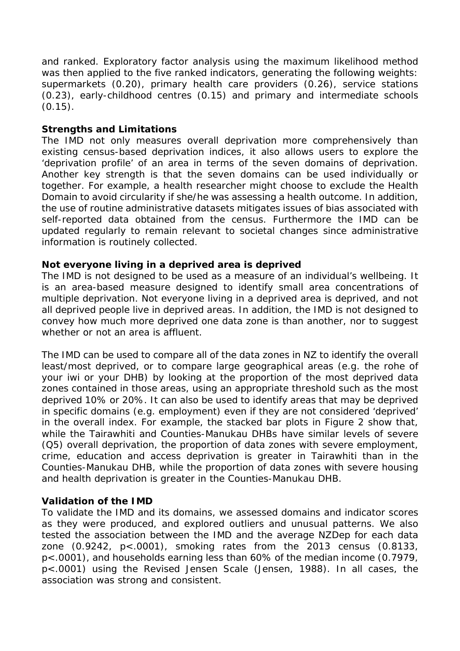and ranked. Exploratory factor analysis using the maximum likelihood method was then applied to the five ranked indicators, generating the following weights: supermarkets (0.20), primary health care providers (0.26), service stations (0.23), early-childhood centres (0.15) and primary and intermediate schools  $(0.15)$ .

## **Strengths and Limitations**

The IMD not only measures overall deprivation more comprehensively than existing census-based deprivation indices, it also allows users to explore the 'deprivation profile' of an area in terms of the seven domains of deprivation. Another key strength is that the seven domains can be used individually or together. For example, a health researcher might choose to exclude the Health Domain to avoid circularity if she/he was assessing a health outcome. In addition, the use of routine administrative datasets mitigates issues of bias associated with self-reported data obtained from the census. Furthermore the IMD can be updated regularly to remain relevant to societal changes since administrative information is routinely collected.

## **Not everyone living in a deprived area is deprived**

The IMD is not designed to be used as a measure of an individual's wellbeing. It is an area-based measure designed to identify small area concentrations of multiple deprivation. Not everyone living in a deprived area is deprived, and not all deprived people live in deprived areas. In addition, the IMD is not designed to convey how much more deprived one data zone is than another, nor to suggest whether or not an area is affluent.

The IMD can be used to compare all of the data zones in NZ to identify the overall least/most deprived, or to compare large geographical areas (e.g. the *rohe* of your *iwi* or your DHB) by looking at the proportion of the most deprived data zones contained in those areas, using an appropriate threshold such as the most deprived 10% or 20%. It can also be used to identify areas that may be deprived in specific domains (e.g. employment) even if they are not considered 'deprived' in the overall index. For example, the stacked bar plots in [Figure 2](#page-8-0) show that, while the Tairawhiti and Counties-Manukau DHBs have similar levels of severe (Q5) overall deprivation, the proportion of data zones with severe employment, crime, education and access deprivation is greater in Tairawhiti than in the Counties-Manukau DHB, while the proportion of data zones with severe housing and health deprivation is greater in the Counties-Manukau DHB.

## **Validation of the IMD**

To validate the IMD and its domains, we assessed domains and indicator scores as they were produced, and explored outliers and unusual patterns. We also tested the association between the IMD and the average NZDep for each data zone (0.9242, p<.0001), smoking rates from the 2013 census (0.8133, p<.0001), and households earning less than 60% of the median income (0.7979, p<.0001) using the Revised Jensen Scale (Jensen, 1988). In all cases, the association was strong and consistent.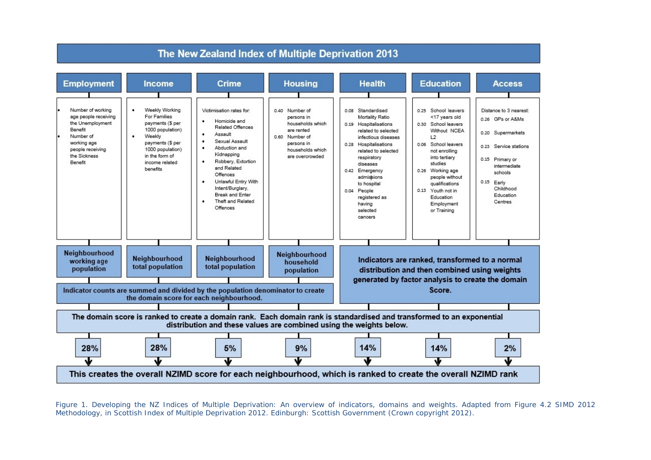

<span id="page-6-0"></span>*Figure 1. Developing the NZ Indices of Multiple Deprivation: An overview of indicators, domains and weights. Adapted from Figure 4.2 SIMD 2012 Methodology, in Scottish Index of Multiple Deprivation 2012. Edinburgh: Scottish Government (Crown copyright 2012).*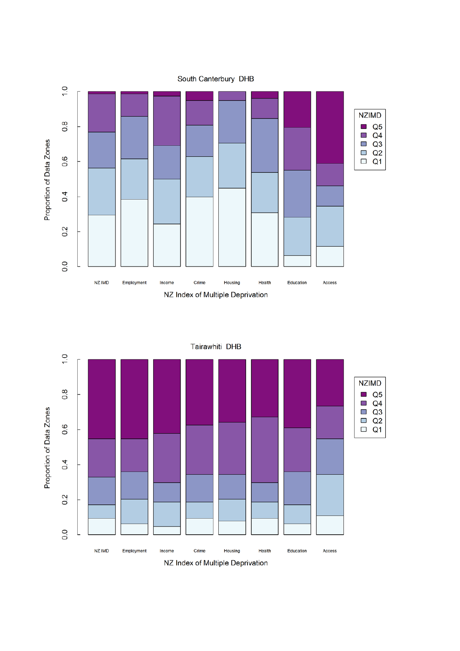



Tairawhiti DHB

NZ Index of Multiple Deprivation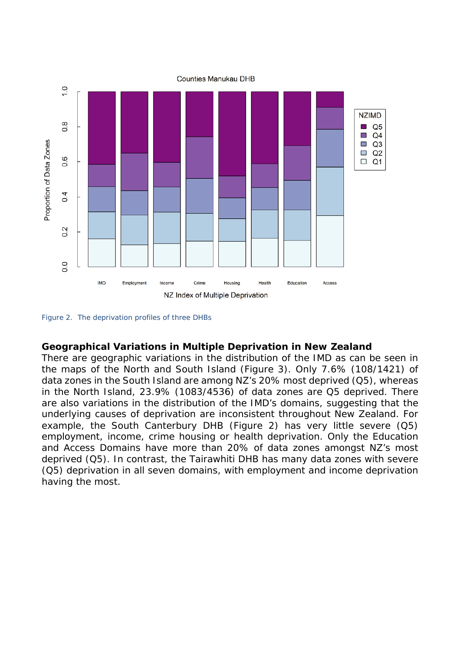

<span id="page-8-0"></span>*Figure 2. The deprivation profiles of three DHBs*

#### **Geographical Variations in Multiple Deprivation in New Zealand**

There are geographic variations in the distribution of the IMD as can be seen in the maps of the North and South Island [\(Figure 3\)](#page-9-0). Only 7.6% (108/1421) of data zones in the South Island are among NZ's 20% most deprived (Q5), whereas in the North Island, 23.9% (1083/4536) of data zones are Q5 deprived. There are also variations in the distribution of the IMD's domains, suggesting that the underlying causes of deprivation are inconsistent throughout New Zealand. For example, the South Canterbury DHB [\(Figure 2\)](#page-8-0) has very little severe (Q5) employment, income, crime housing or health deprivation. Only the Education and Access Domains have more than 20% of data zones amongst NZ's most deprived (Q5). In contrast, the Tairawhiti DHB has many data zones with severe (Q5) deprivation in all seven domains, with employment and income deprivation having the most.